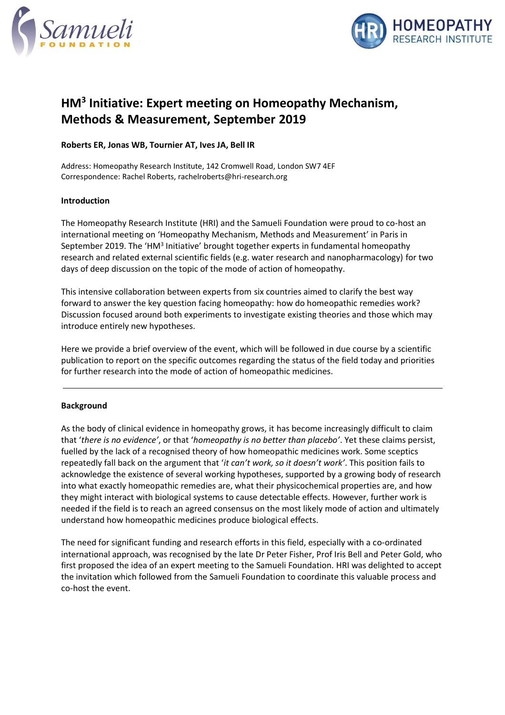



# **HM<sup>3</sup> Initiative: Expert meeting on Homeopathy Mechanism, Methods & Measurement, September 2019**

## **Roberts ER, Jonas WB, Tournier AT, Ives JA, Bell IR**

Address: Homeopathy Research Institute, 142 Cromwell Road, London SW7 4EF Correspondence: Rachel Roberts, rachelroberts@hri-research.org

#### **Introduction**

The Homeopathy Research Institute (HRI) and the Samueli Foundation were proud to co-host an international meeting on 'Homeopathy Mechanism, Methods and Measurement' in Paris in September 2019. The 'HM<sup>3</sup> Initiative' brought together experts in fundamental homeopathy research and related external scientific fields (e.g. water research and nanopharmacology) for two days of deep discussion on the topic of the mode of action of homeopathy.

This intensive collaboration between experts from six countries aimed to clarify the best way forward to answer the key question facing homeopathy: how do homeopathic remedies work? Discussion focused around both experiments to investigate existing theories and those which may introduce entirely new hypotheses.

Here we provide a brief overview of the event, which will be followed in due course by a scientific publication to report on the specific outcomes regarding the status of the field today and priorities for further research into the mode of action of homeopathic medicines.

#### **Background**

As the body of clinical evidence in homeopathy grows, it has become increasingly difficult to claim that '*there is no evidence'*, or that '*homeopathy is no better than placebo'*. Yet these claims persist, fuelled by the lack of a recognised theory of how homeopathic medicines work. Some sceptics repeatedly fall back on the argument that '*it can't work, so it doesn't work'*. This position fails to acknowledge the existence of several working hypotheses, supported by a growing body of research into what exactly homeopathic remedies are, what their physicochemical properties are, and how they might interact with biological systems to cause detectable effects. However, further work is needed if the field is to reach an agreed consensus on the most likely mode of action and ultimately understand how homeopathic medicines produce biological effects.

The need for significant funding and research efforts in this field, especially with a co-ordinated international approach, was recognised by the late Dr Peter Fisher, Prof Iris Bell and Peter Gold, who first proposed the idea of an expert meeting to the Samueli Foundation. HRI was delighted to accept the invitation which followed from the Samueli Foundation to coordinate this valuable process and co-host the event.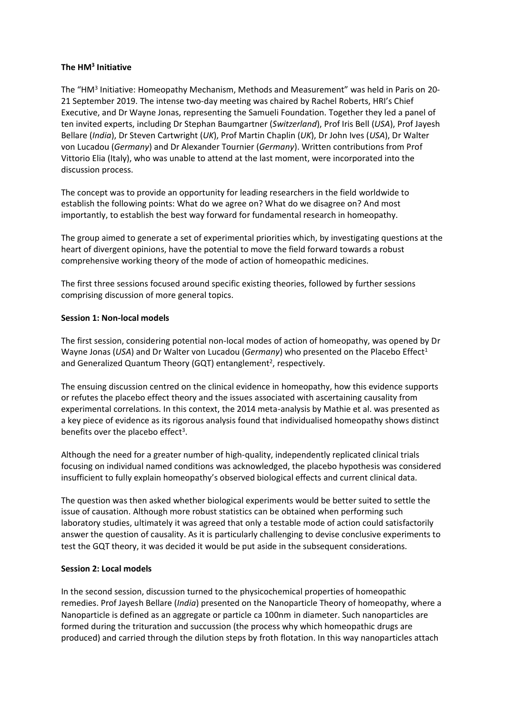## **The HM<sup>3</sup> Initiative**

The "HM<sup>3</sup> Initiative: Homeopathy Mechanism, Methods and Measurement" was held in Paris on 20-21 September 2019. The intense two-day meeting was chaired by Rachel Roberts, HRI's Chief Executive, and Dr Wayne Jonas, representing the Samueli Foundation. Together they led a panel of ten invited experts, including Dr Stephan Baumgartner (*Switzerland*), Prof Iris Bell (*USA*), Prof Jayesh Bellare (*India*), Dr Steven Cartwright (*UK*), Prof Martin Chaplin (*UK*), Dr John Ives (*USA*), Dr Walter von Lucadou (*Germany*) and Dr Alexander Tournier (*Germany*). Written contributions from Prof Vittorio Elia (Italy), who was unable to attend at the last moment, were incorporated into the discussion process.

The concept was to provide an opportunity for leading researchers in the field worldwide to establish the following points: What do we agree on? What do we disagree on? And most importantly, to establish the best way forward for fundamental research in homeopathy.

The group aimed to generate a set of experimental priorities which, by investigating questions at the heart of divergent opinions, have the potential to move the field forward towards a robust comprehensive working theory of the mode of action of homeopathic medicines.

The first three sessions focused around specific existing theories, followed by further sessions comprising discussion of more general topics.

#### **Session 1: Non-local models**

The first session, considering potential non-local modes of action of homeopathy, was opened by Dr Wayne Jonas (USA) and Dr Walter von Lucadou (*Germany*) who presented on the Placebo Effect<sup>1</sup> and Generalized Quantum Theory (GQT) entanglement<sup>2</sup>, respectively.

The ensuing discussion centred on the clinical evidence in homeopathy, how this evidence supports or refutes the placebo effect theory and the issues associated with ascertaining causality from experimental correlations. In this context, the 2014 meta-analysis by Mathie et al. was presented as a key piece of evidence as its rigorous analysis found that individualised homeopathy shows distinct benefits over the placebo effect<sup>3</sup>.

Although the need for a greater number of high-quality, independently replicated clinical trials focusing on individual named conditions was acknowledged, the placebo hypothesis was considered insufficient to fully explain homeopathy's observed biological effects and current clinical data.

The question was then asked whether biological experiments would be better suited to settle the issue of causation. Although more robust statistics can be obtained when performing such laboratory studies, ultimately it was agreed that only a testable mode of action could satisfactorily answer the question of causality. As it is particularly challenging to devise conclusive experiments to test the GQT theory, it was decided it would be put aside in the subsequent considerations.

#### **Session 2: Local models**

In the second session, discussion turned to the physicochemical properties of homeopathic remedies. Prof Jayesh Bellare (*India*) presented on the Nanoparticle Theory of homeopathy, where a Nanoparticle is defined as an aggregate or particle ca 100nm in diameter. Such nanoparticles are formed during the trituration and succussion (the process why which homeopathic drugs are produced) and carried through the dilution steps by froth flotation. In this way nanoparticles attach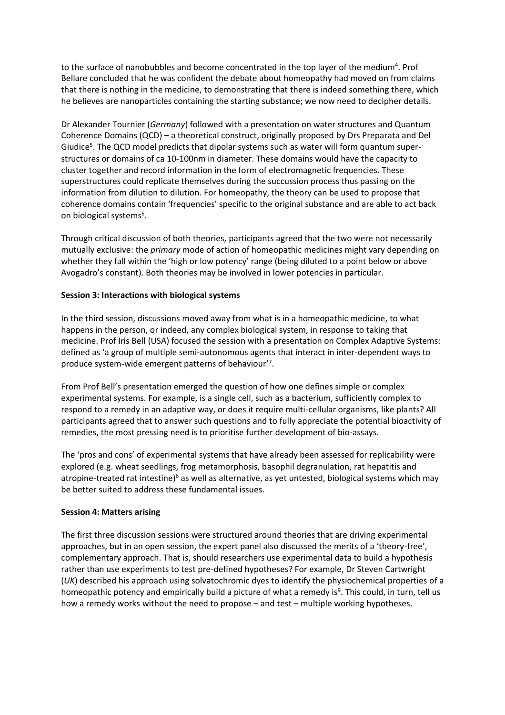to the surface of nanobubbles and become concentrated in the top layer of the medium<sup>4</sup>. Prof Bellare concluded that he was confident the debate about homeopathy had moved on from claims that there is nothing in the medicine, to demonstrating that there is indeed something there, which he believes are nanoparticles containing the starting substance; we now need to decipher details.

Dr Alexander Tournier (*Germany*) followed with a presentation on water structures and Quantum Coherence Domains (QCD) – a theoretical construct, originally proposed by Drs Preparata and Del Giudice<sup>5</sup>. The QCD model predicts that dipolar systems such as water will form quantum superstructures or domains of ca 10-100nm in diameter. These domains would have the capacity to cluster together and record information in the form of electromagnetic frequencies. These superstructures could replicate themselves during the succussion process thus passing on the information from dilution to dilution. For homeopathy, the theory can be used to propose that coherence domains contain 'frequencies' specific to the original substance and are able to act back on biological systems<sup>6</sup>.

Through critical discussion of both theories, participants agreed that the two were not necessarily mutually exclusive: the *primary* mode of action of homeopathic medicines might vary depending on whether they fall within the 'high or low potency' range (being diluted to a point below or above Avogadro's constant). Both theories may be involved in lower potencies in particular.

## **Session 3: Interactions with biological systems**

In the third session, discussions moved away from what is in a homeopathic medicine, to what happens in the person, or indeed, any complex biological system, in response to taking that medicine. Prof Iris Bell (USA) focused the session with a presentation on Complex Adaptive Systems: defined as 'a group of multiple semi-autonomous agents that interact in inter-dependent ways to produce system-wide emergent patterns of behaviour' 7 .

From Prof Bell's presentation emerged the question of how one defines simple or complex experimental systems. For example, is a single cell, such as a bacterium, sufficiently complex to respond to a remedy in an adaptive way, or does it require multi-cellular organisms, like plants? All participants agreed that to answer such questions and to fully appreciate the potential bioactivity of remedies, the most pressing need is to prioritise further development of bio-assays.

The 'pros and cons' of experimental systems that have already been assessed for replicability were explored (e.g. wheat seedlings, frog metamorphosis, basophil degranulation, rat hepatitis and atropine-treated rat intestine)<sup>8</sup> as well as alternative, as yet untested, biological systems which may be better suited to address these fundamental issues.

### **Session 4: Matters arising**

The first three discussion sessions were structured around theories that are driving experimental approaches, but in an open session, the expert panel also discussed the merits of a 'theory-free', complementary approach. That is, should researchers use experimental data to build a hypothesis rather than use experiments to test pre-defined hypotheses? For example, Dr Steven Cartwright (*UK*) described his approach using solvatochromic dyes to identify the physiochemical properties of a homeopathic potency and empirically build a picture of what a remedy is<sup>9</sup>. This could, in turn, tell us how a remedy works without the need to propose – and test – multiple working hypotheses.